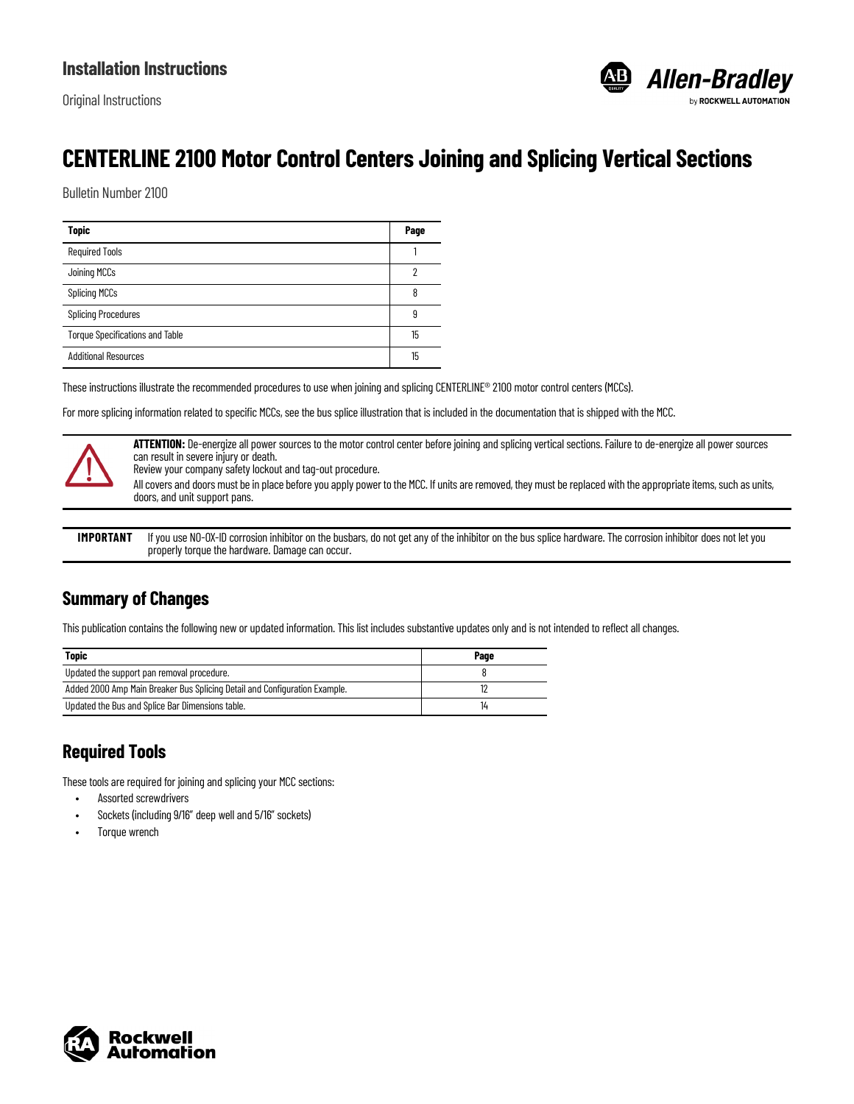

# **CENTERLINE 2100 Motor Control Centers Joining and Splicing Vertical Sections**

Bulletin Number 2100

| <b>Topic</b>                           | Page |
|----------------------------------------|------|
| <b>Required Tools</b>                  |      |
| Joining MCCs                           |      |
| <b>Splicing MCCs</b>                   |      |
| <b>Splicing Procedures</b>             |      |
| <b>Torque Specifications and Table</b> | 15   |
| <b>Additional Resources</b>            | 15   |

These instructions illustrate the recommended procedures to use when joining and splicing CENTERLINE® 2100 motor control centers (MCCs).

For more splicing information related to specific MCCs, see the bus splice illustration that is included in the documentation that is shipped with the MCC.



**ATTENTION:** De-energize all power sources to the motor control center before joining and splicing vertical sections. Failure to de-energize all power sources can result in severe injury or death.

Review your company safety lockout and tag-out procedure.

All covers and doors must be in place before you apply power to the MCC. If units are removed, they must be replaced with the appropriate items, such as units, doors, and unit support pans.

**IMPORTANT** If you use NO-OX-ID corrosion inhibitor on the busbars, do not get any of the inhibitor on the bus splice hardware. The corrosion inhibitor does not let you properly torque the hardware. Damage can occur.

### **Summary of Changes**

This publication contains the following new or updated information. This list includes substantive updates only and is not intended to reflect all changes.

| <b>Topic</b>                                                               | Page |
|----------------------------------------------------------------------------|------|
| Updated the support pan removal procedure.                                 |      |
| Added 2000 Amp Main Breaker Bus Splicing Detail and Configuration Example. |      |
| Updated the Bus and Splice Bar Dimensions table.                           |      |

## <span id="page-0-0"></span>**Required Tools**

These tools are required for joining and splicing your MCC sections:

- Assorted screwdrivers
- Sockets (including 9/16" deep well and 5/16" sockets)
- Torque wrench

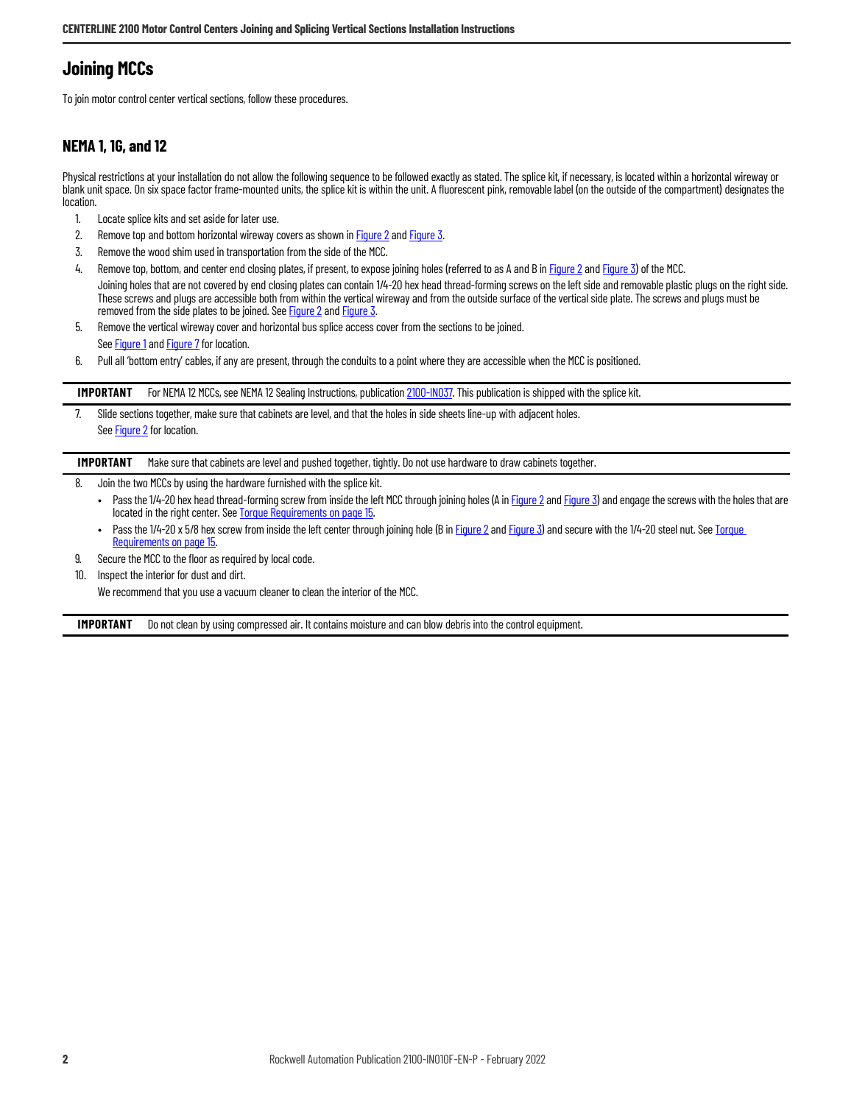# <span id="page-1-0"></span>**Joining MCCs**

To join motor control center vertical sections, follow these procedures.

### **NEMA 1, 1G, and 12**

Physical restrictions at your installation do not allow the following sequence to be followed exactly as stated. The splice kit, if necessary, is located within a horizontal wireway or blank unit space. On six space factor frame-mounted units, the splice kit is within the unit. A fluorescent pink, removable label (on the outside of the compartment) designates the location.

- 1. Locate splice kits and set aside for later use.
- 2. Remove top and bottom horizontal wireway covers as shown in [Figure 2](#page-3-0) and [Figure 3](#page-4-0).
- 3. Remove the wood shim used in transportation from the side of the MCC.
- 4. Remove top, bottom, and center end closing plates, if present, to expose joining holes (referred to as A and B in [Figure 2](#page-3-0) and [Figure 3\)](#page-4-0) of the MCC. Joining holes that are not covered by end closing plates can contain 1/4-20 hex head thread-forming screws on the left side and removable plastic plugs on the right side. These screws and plugs are accessible both from within the vertical wireway and from the outside surface of the vertical side plate. The screws and plugs must be removed from the side plates to be joined. See [Figure 2](#page-3-0) and [Figure 3](#page-4-0).
- 5. Remove the vertical wireway cover and horizontal bus splice access cover from the sections to be joined. See [Figure 1](#page-2-0) and [Figure 7](#page-8-1) for location.
- 6. Pull all 'bottom entry' cables, if any are present, through the conduits to a point where they are accessible when the MCC is positioned.

**IMPORTANT** For NEMA 12 MCCs, see NEMA 12 Sealing Instructions, publication [2100-IN037](https://literature.rockwellautomation.com/idc/groups/literature/documents/in/2100-in037_-en-p.pdf). This publication is shipped with the splice kit.

7. Slide sections together, make sure that cabinets are level, and that the holes in side sheets line-up with adjacent holes. See [Figure 2](#page-3-0) for location.

**IMPORTANT** Make sure that cabinets are level and pushed together, tightly. Do not use hardware to draw cabinets together.

- 8. Join the two MCCs by using the hardware furnished with the splice kit.
	- Pass the 1/4-20 hex head thread-forming screw from inside the left MCC through joining holes (A in [Figure 2](#page-3-0) and [Figure 3](#page-4-0)) and engage the screws with the holes that are located in the right center. See [Torque Requirements on page 15.](#page-14-2)
	- Pass the 1/4-20 x 5/8 hex screw from inside the left center through joining hole (B in [Figure 2](#page-3-0) and [Figure 3\)](#page-4-0) and secure with the 1/4-20 steel nut. See Torque [Requirements on page 15](#page-14-2).
- 9. Secure the MCC to the floor as required by local code.
- 10. Inspect the interior for dust and dirt.
	- We recommend that you use a vacuum cleaner to clean the interior of the MCC.

**IMPORTANT** Do not clean by using compressed air. It contains moisture and can blow debris into the control equipment.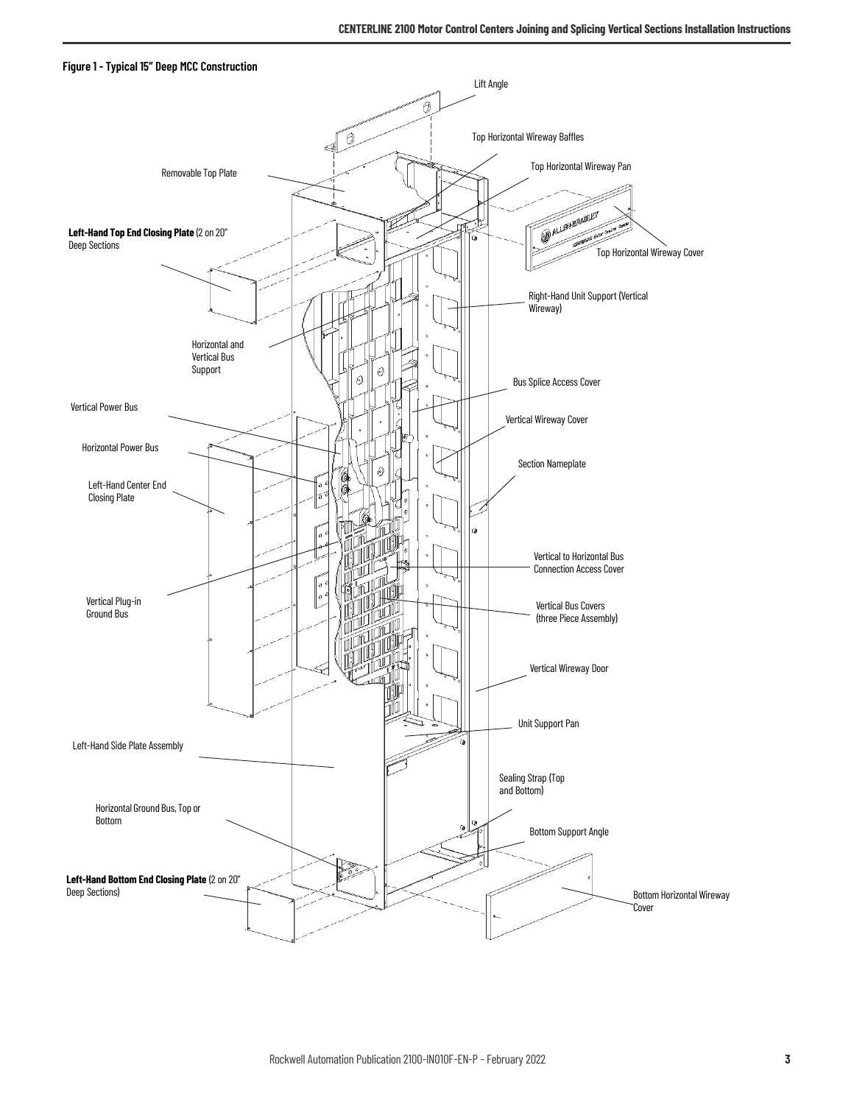<span id="page-2-0"></span>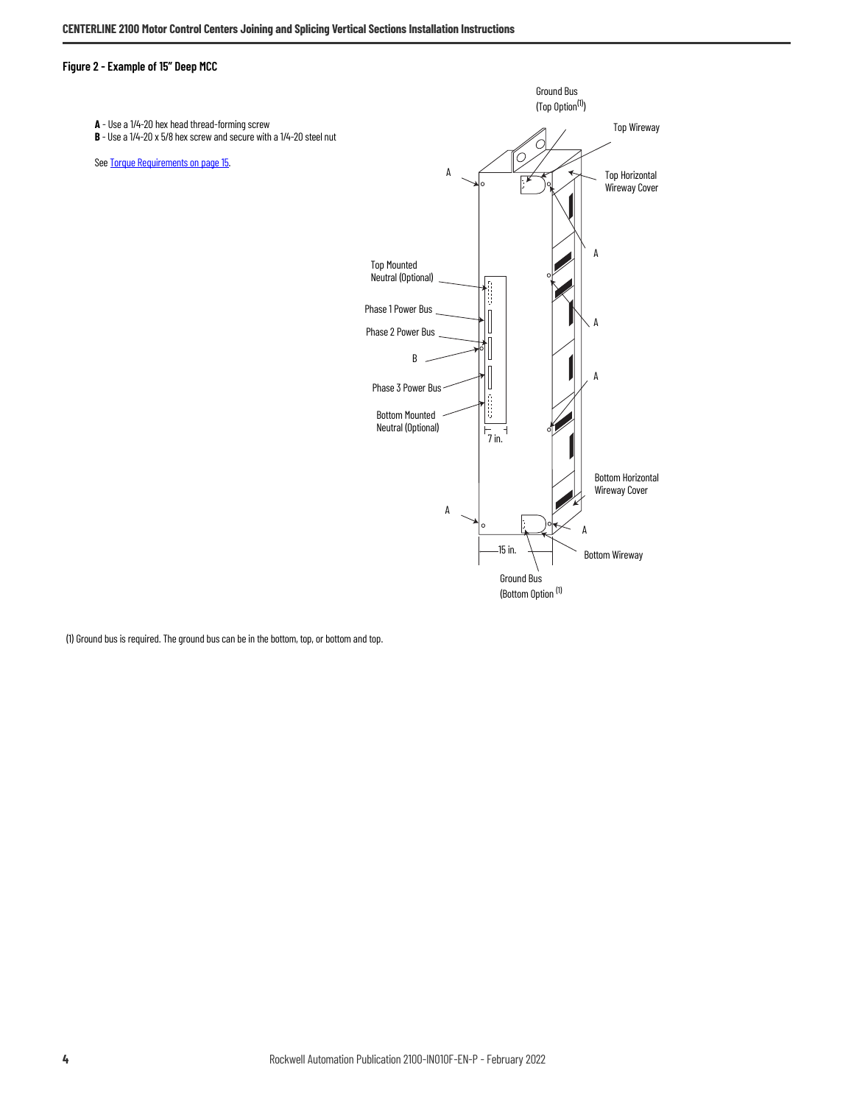#### <span id="page-3-0"></span>**Figure 2 - Example of 15" Deep MCC**



(1) Ground bus is required. The ground bus can be in the bottom, top, or bottom and top.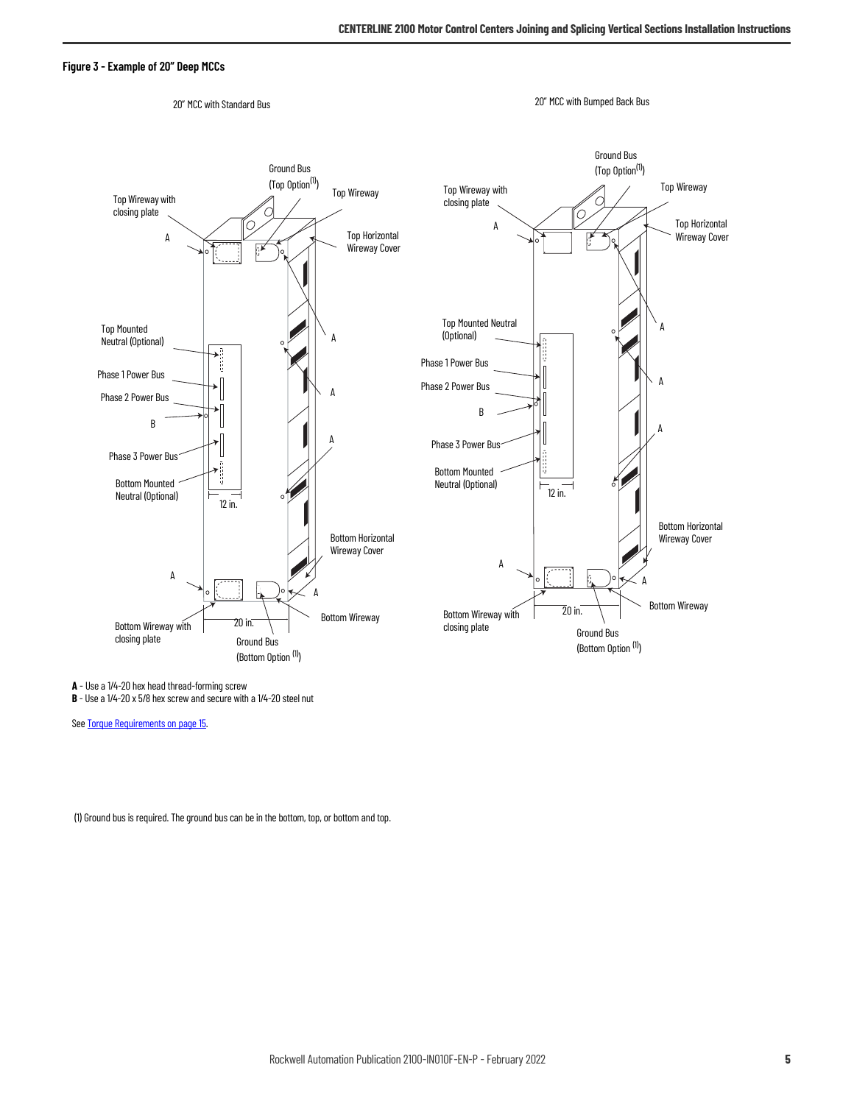#### <span id="page-4-0"></span>**Figure 3 - Example of 20" Deep MCCs**



**A** - Use a 1/4-20 hex head thread-forming screw

**B** - Use a 1/4-20 x 5/8 hex screw and secure with a 1/4-20 steel nut

See **[Torque Requirements on page 15.](#page-14-2)** 

(1) Ground bus is required. The ground bus can be in the bottom, top, or bottom and top.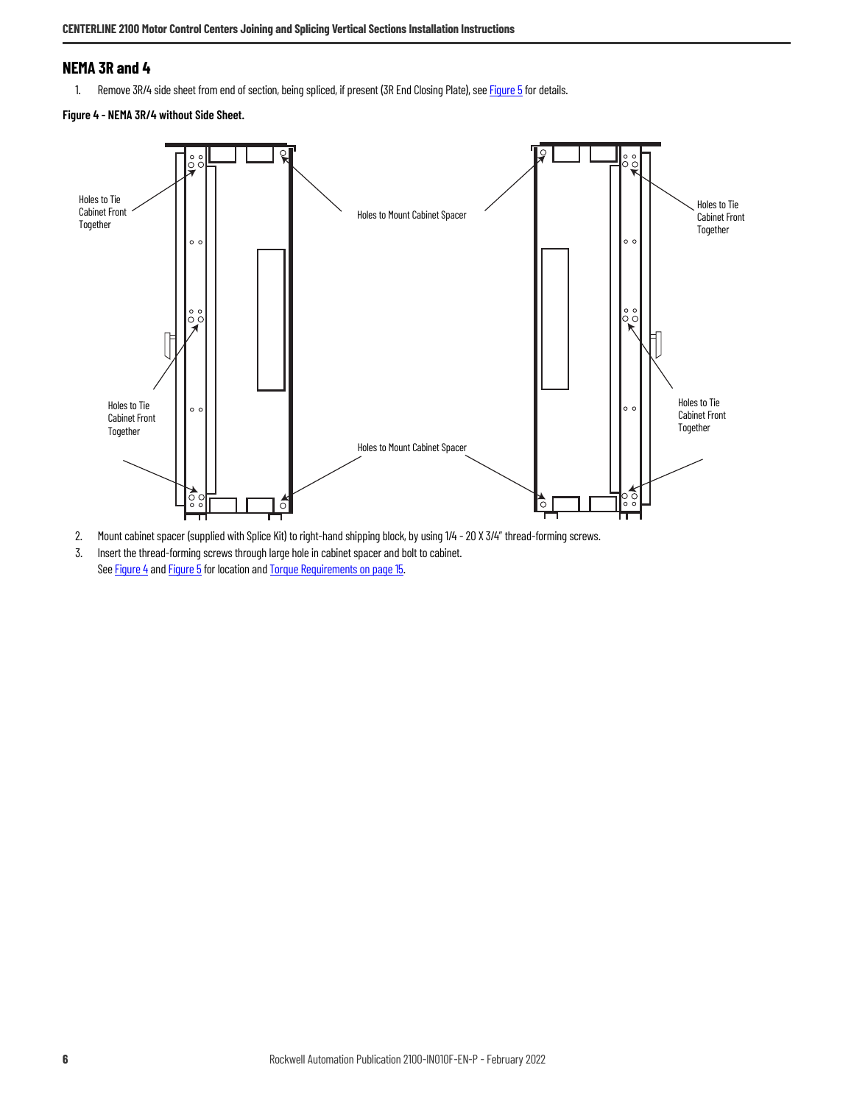### **NEMA 3R and 4**

1. Remove 3R/4 side sheet from end of section, being spliced, if present (3R End Closing Plate), see [Figure 5](#page-6-0) for details.

<span id="page-5-0"></span>**Figure 4 - NEMA 3R/4 without Side Sheet.** 



- 2. Mount cabinet spacer (supplied with Splice Kit) to right-hand shipping block, by using 1/4 20 X 3/4" thread-forming screws.
- 3. Insert the thread-forming screws through large hole in cabinet spacer and bolt to cabinet. See [Figure 4](#page-5-0) and [Figure 5](#page-6-0) for location and [Torque Requirements on page 15](#page-14-2).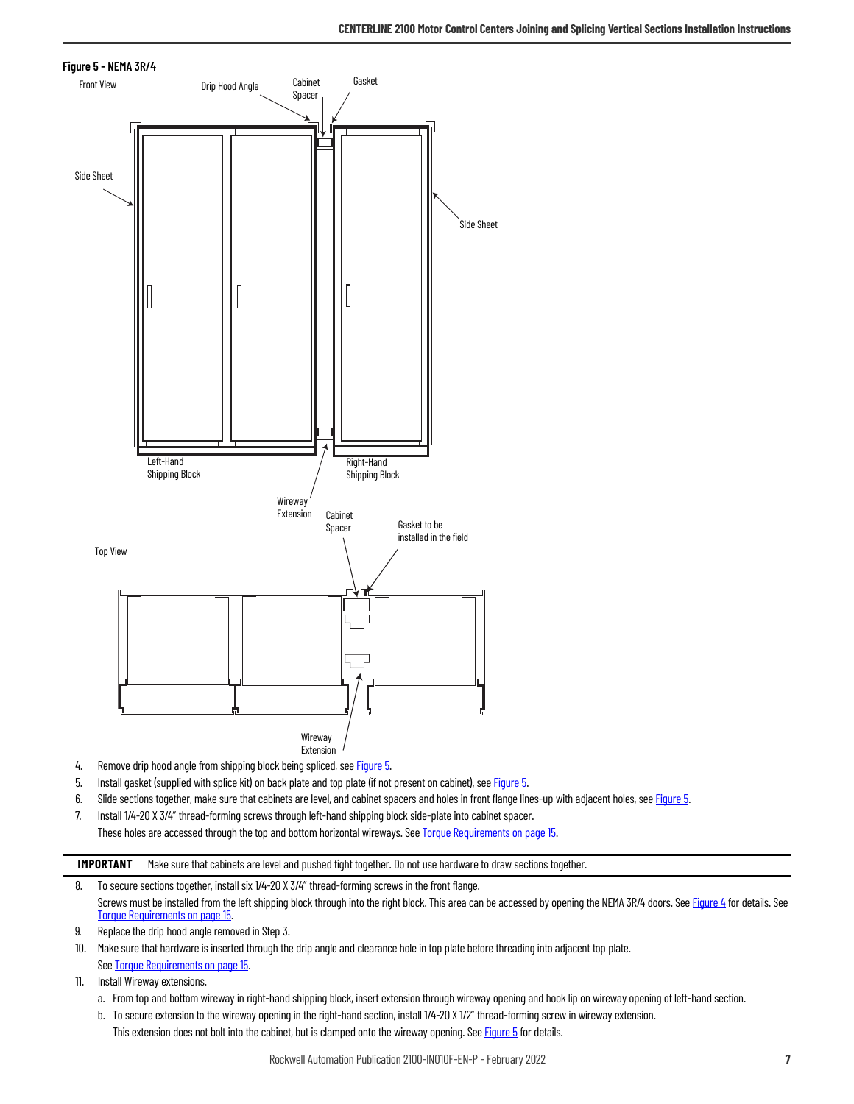<span id="page-6-0"></span>

- 4. Remove drip hood angle from shipping block being spliced, see **[Figure 5](#page-6-0).**
- 5. Install gasket (supplied with splice kit) on back plate and top plate (if not present on cabinet), see [Figure 5.](#page-6-0)
- 6. Slide sections together, make sure that cabinets are level, and cabinet spacers and holes in front flange lines-up with adjacent holes, see [Figure 5.](#page-6-0)
- 7. Install 1/4-20 X 3/4" thread-forming screws through left-hand shipping block side-plate into cabinet spacer.

These holes are accessed through the top and bottom horizontal wireways. See [Torque Requirements on page 15.](#page-14-2)

**IMPORTANT** Make sure that cabinets are level and pushed tight together. Do not use hardware to draw sections together.

- 8. To secure sections together, install six 1/4-20 X 3/4" thread-forming screws in the front flange. Screws must be installed from the left shipping block through into the right block. This area can be accessed by opening the NEMA 3R/4 doors. See [Figure 4](#page-5-0) for details. See [Torque Requirements on page 15.](#page-14-2)
- 9. Replace the drip hood angle removed in Step 3.
- 10. Make sure that hardware is inserted through the drip angle and clearance hole in top plate before threading into adjacent top plate. See [Torque Requirements on page 15](#page-14-2).
- 11. Install Wireway extensions.
	- a. From top and bottom wireway in right-hand shipping block, insert extension through wireway opening and hook lip on wireway opening of left-hand section.
	- b. To secure extension to the wireway opening in the right-hand section, install 1/4-20 X 1/2" thread-forming screw in wireway extension. This extension does not bolt into the cabinet, but is clamped onto the wireway opening. See [Figure 5](#page-6-0) for details.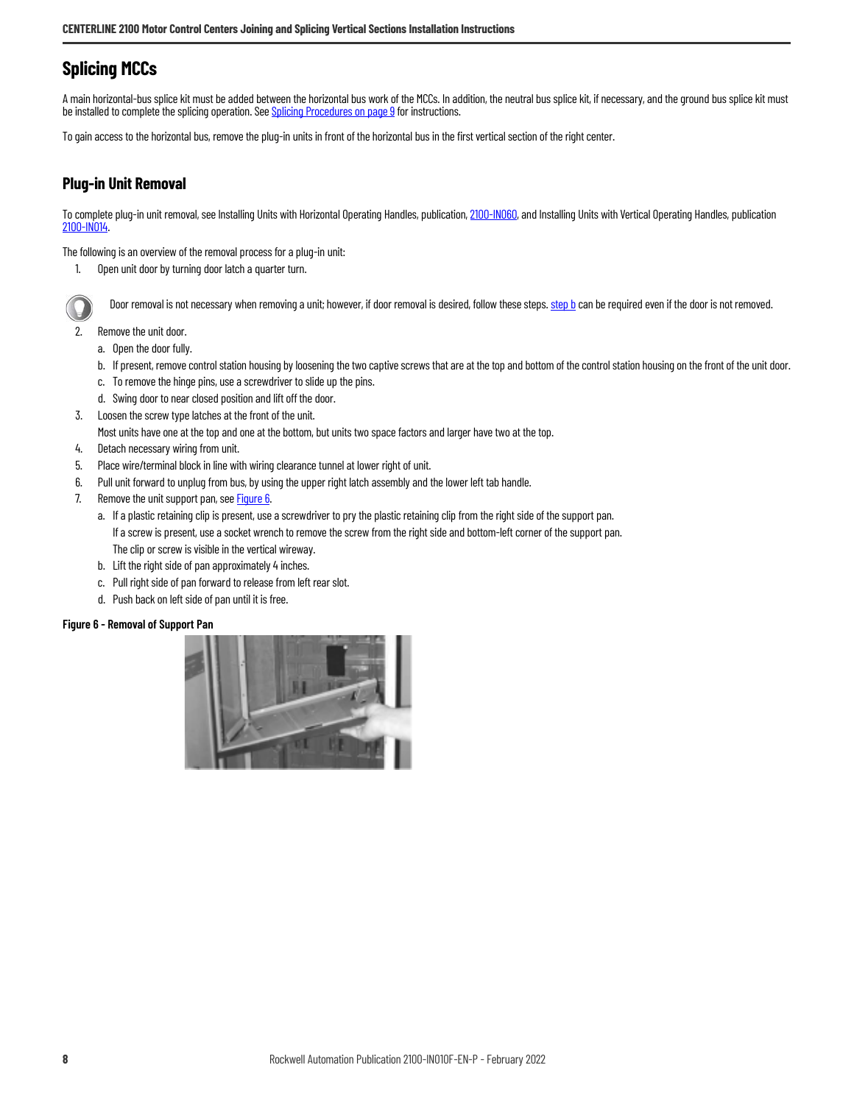### <span id="page-7-0"></span>**Splicing MCCs**

A main horizontal-bus splice kit must be added between the horizontal bus work of the MCCs. In addition, the neutral bus splice kit, if necessary, and the ground bus splice kit must be installed to complete the splicing operation. See [Splicing Procedures on page 9](#page-8-0) for instructions.

To gain access to the horizontal bus, remove the plug-in units in front of the horizontal bus in the first vertical section of the right center.

### **Plug-in Unit Removal**

To complete plug-in unit removal, see Installing Units with Horizontal Operating Handles, publication, [2100-IN060,](https://literature.rockwellautomation.com/idc/groups/literature/documents/in/2100-in060_-en-p.pdf) and Installing Units with Vertical Operating Handles, publication [2100-IN014](https://literature.rockwellautomation.com/idc/groups/literature/documents/in/2100-in014_-en-p.pdf).

The following is an overview of the removal process for a plug-in unit:

1. Open unit door by turning door latch a quarter turn.

Door removal is not necessary when removing a unit; however, if door removal is desired, follow these steps. [step b](#page-7-2) can be required even if the door is not removed.

- <span id="page-7-2"></span>2. Remove the unit door.
	- a. Open the door fully.
	- b. If present, remove control station housing by loosening the two captive screws that are at the top and bottom of the control station housing on the front of the unit door.
	- c. To remove the hinge pins, use a screwdriver to slide up the pins.
	- d. Swing door to near closed position and lift off the door.
- 3. Loosen the screw type latches at the front of the unit.
- Most units have one at the top and one at the bottom, but units two space factors and larger have two at the top.
- 4. Detach necessary wiring from unit.
- 5. Place wire/terminal block in line with wiring clearance tunnel at lower right of unit.
- 6. Pull unit forward to unplug from bus, by using the upper right latch assembly and the lower left tab handle.
- <span id="page-7-1"></span>7. Remove the unit support pan, see **[Figure 6.](#page-7-3)** 
	- a. If a plastic retaining clip is present, use a screwdriver to pry the plastic retaining clip from the right side of the support pan. If a screw is present, use a socket wrench to remove the screw from the right side and bottom-left corner of the support pan. The clip or screw is visible in the vertical wireway.
	- b. Lift the right side of pan approximately 4 inches.
	- c. Pull right side of pan forward to release from left rear slot.
	- d. Push back on left side of pan until it is free.

#### <span id="page-7-3"></span>**Figure 6 - Removal of Support Pan**

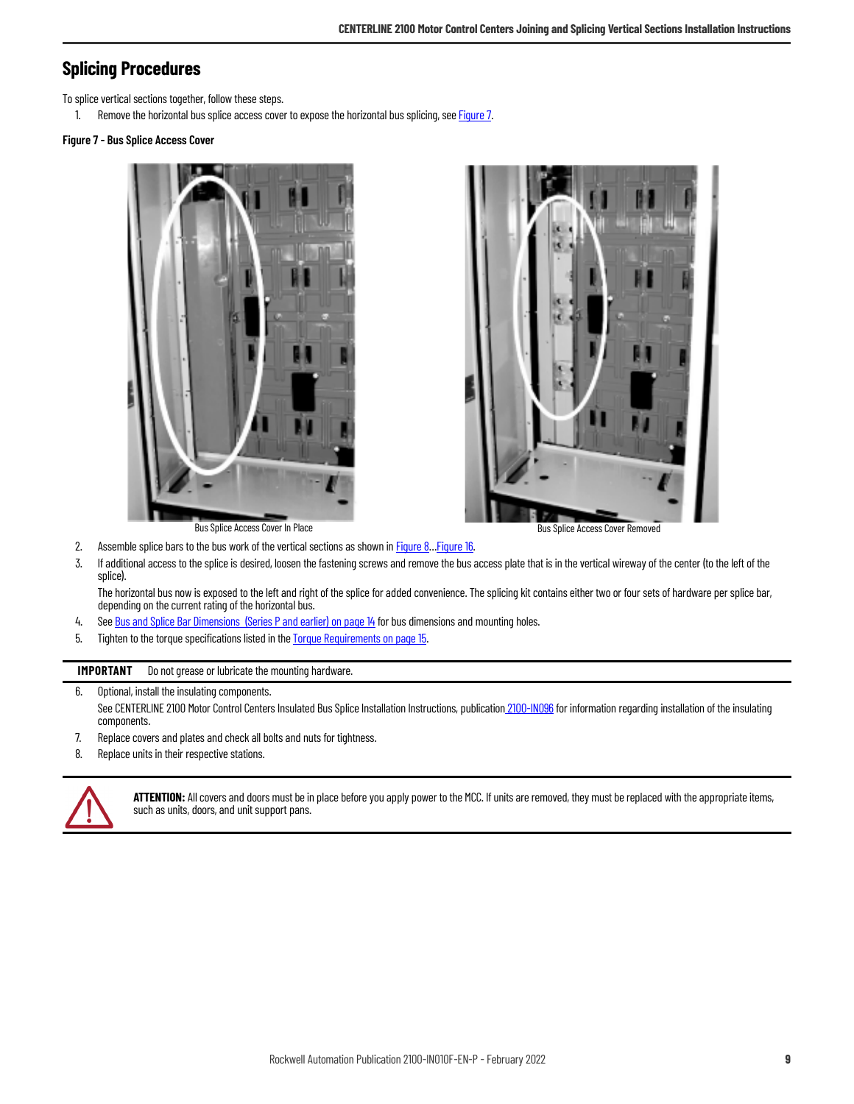### <span id="page-8-0"></span>**Splicing Procedures**

To splice vertical sections together, follow these steps.

1. Remove the horizontal bus splice access cover to expose the horizontal bus splicing, see **Figure 7.** 

#### <span id="page-8-1"></span>**Figure 7 - Bus Splice Access Cover**





- 2. Assemble splice bars to the bus work of the vertical sections as shown in **Figure 8... Figure 16.**
- 3. If additional access to the splice is desired, loosen the fastening screws and remove the bus access plate that is in the vertical wireway of the center (to the left of the splice).

The horizontal bus now is exposed to the left and right of the splice for added convenience. The splicing kit contains either two or four sets of hardware per splice bar, depending on the current rating of the horizontal bus.

- 4. See [Bus and Splice Bar Dimensions \(Series P and earlier\) on page 14](#page-13-0) for bus dimensions and mounting holes.
- 5. Tighten to the torque specifications listed in the **Torque Requirements on page 15.**

#### **IMPORTANT** Do not grease or lubricate the mounting hardware.

#### 6. Optional, install the insulating components.

- See CENTERLINE 2100 Motor Control Centers Insulated Bus Splice Installation Instructions, publicatio[n 2100-IN096](https://literature.rockwellautomation.com/idc/groups/literature/documents/in/2100-in096_-en-p.pdf) for information regarding installation of the insulating components.
- 7. Replace covers and plates and check all bolts and nuts for tightness.
- 8. Replace units in their respective stations.



**ATTENTION:** All covers and doors must be in place before you apply power to the MCC. If units are removed, they must be replaced with the appropriate items, such as units, doors, and unit support pans.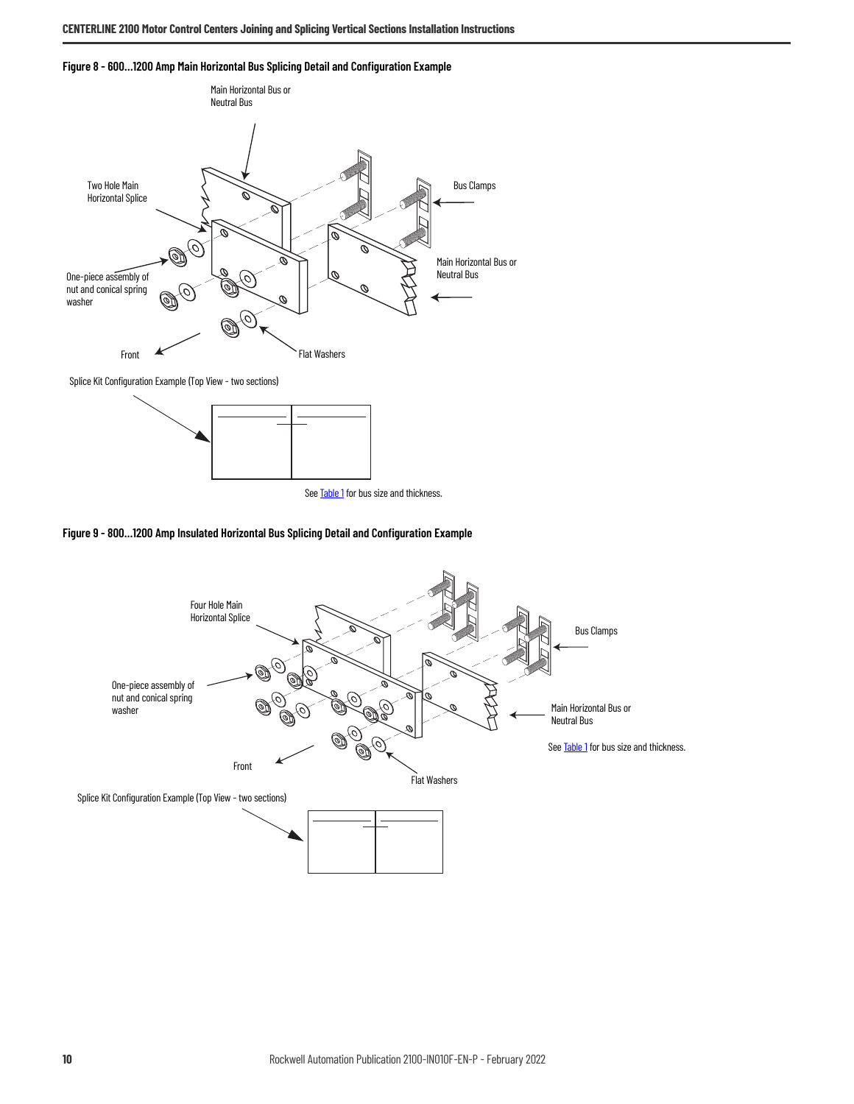<span id="page-9-0"></span>



Splice Kit Configuration Example (Top View - two sections)





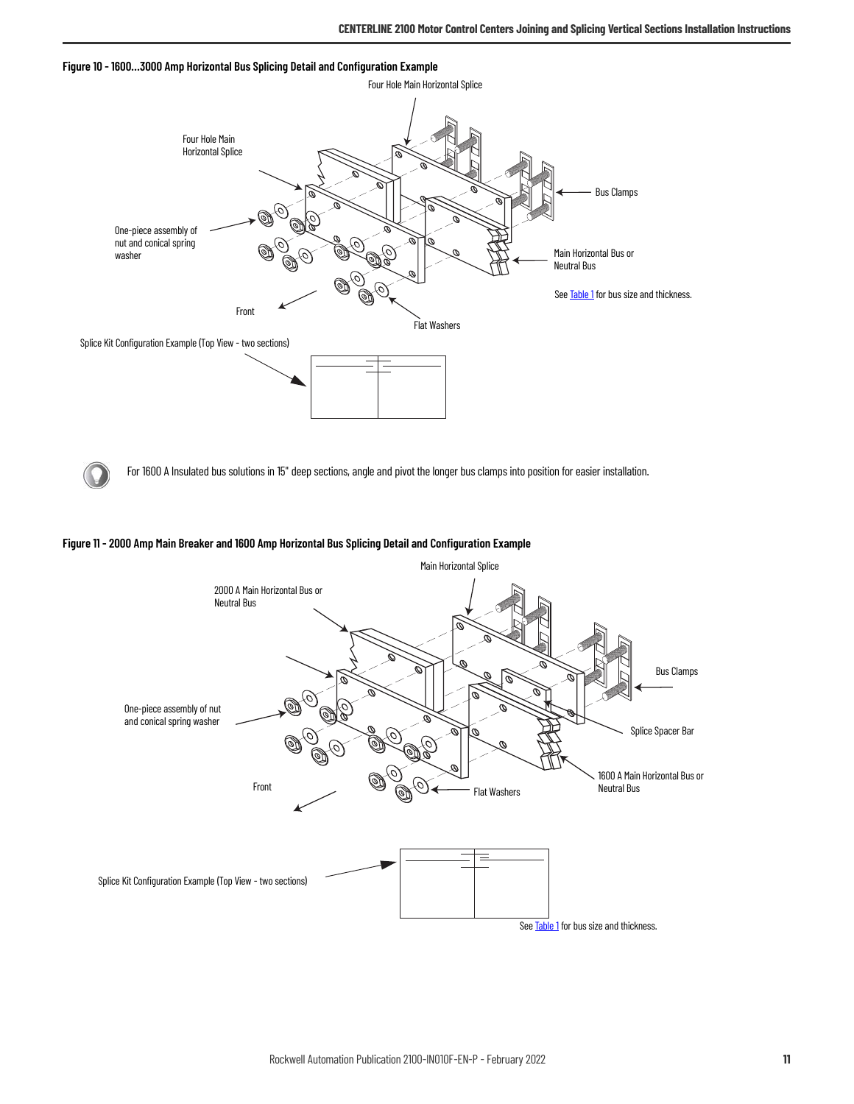



For 1600 A Insulated bus solutions in 15" deep sections, angle and pivot the longer bus clamps into position for easier installation.

#### **Figure 11 - 2000 Amp Main Breaker and 1600 Amp Horizontal Bus Splicing Detail and Configuration Example**

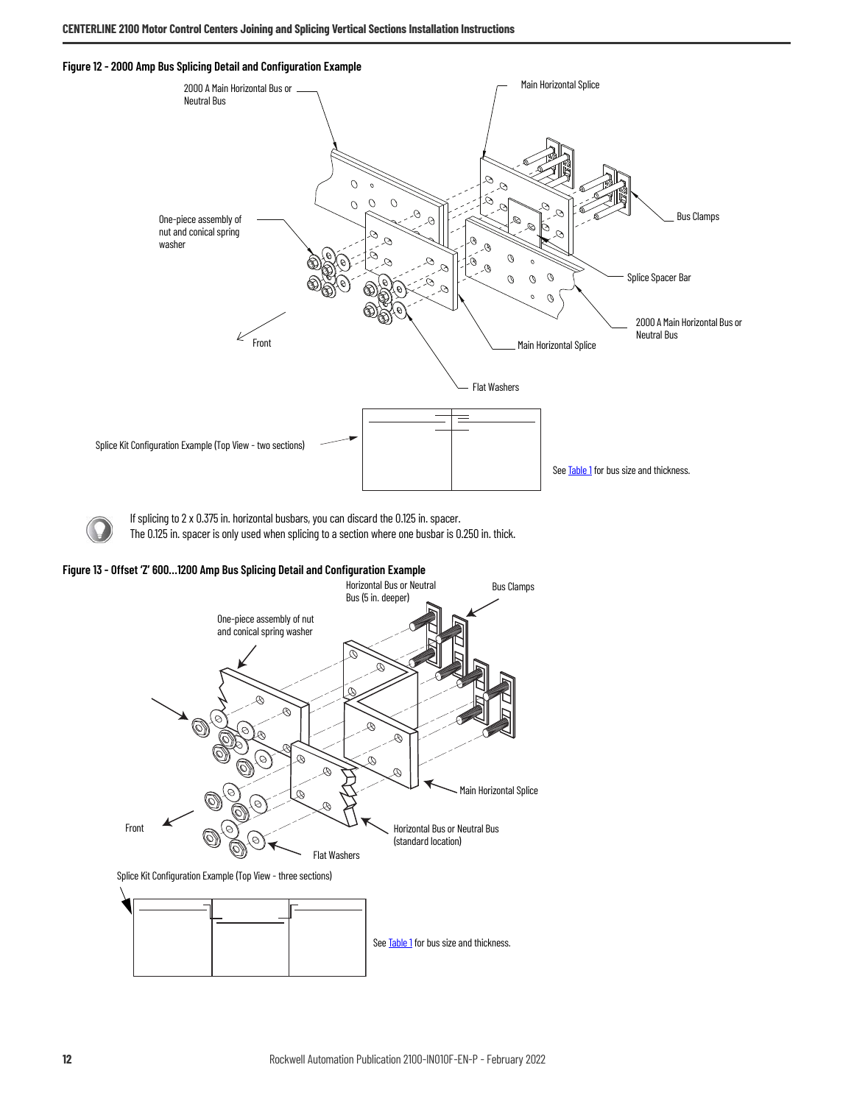<span id="page-11-0"></span>**Figure 12 - 2000 Amp Bus Splicing Detail and Configuration Example**



If splicing to 2 x 0.375 in. horizontal busbars, you can discard the 0.125 in. spacer.

The 0.125 in. spacer is only used when splicing to a section where one busbar is 0.250 in. thick.

**Figure 13 - Offset 'Z' 600…1200 Amp Bus Splicing Detail and Configuration Example** 

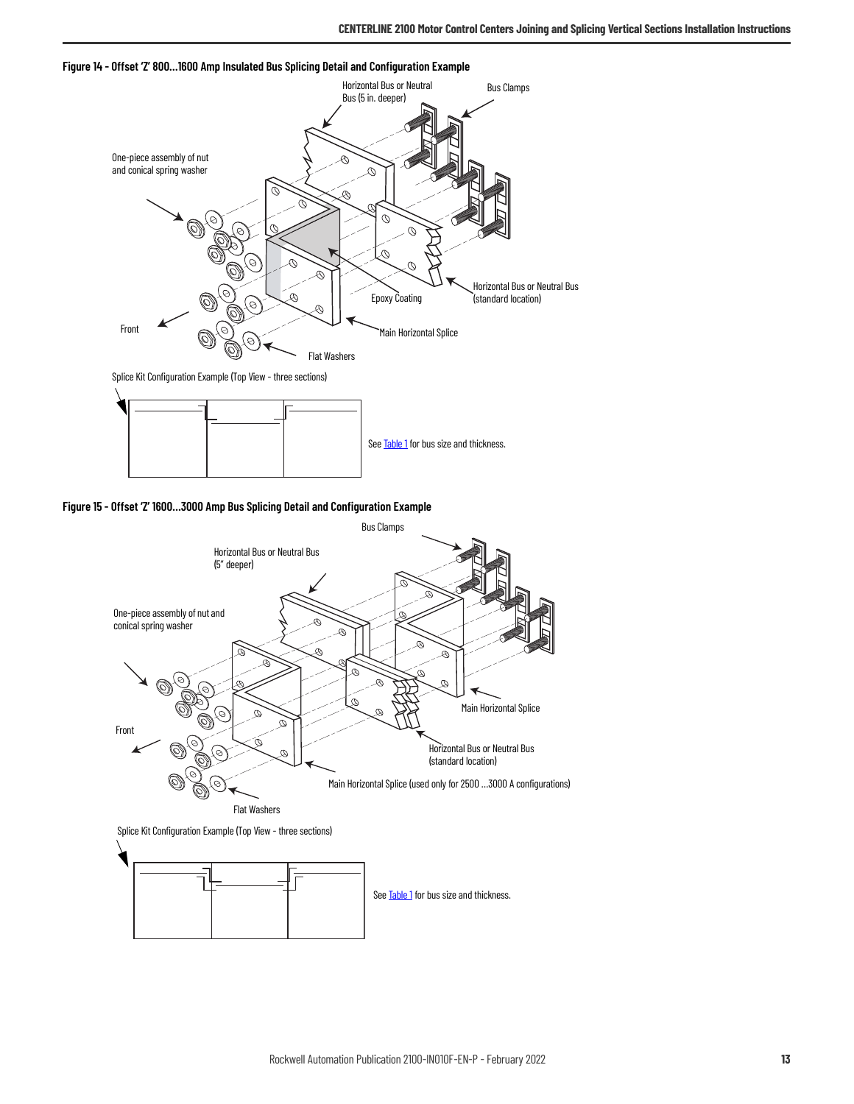

**Figure 14 - Offset 'Z' 800…1600 Amp Insulated Bus Splicing Detail and Configuration Example** 



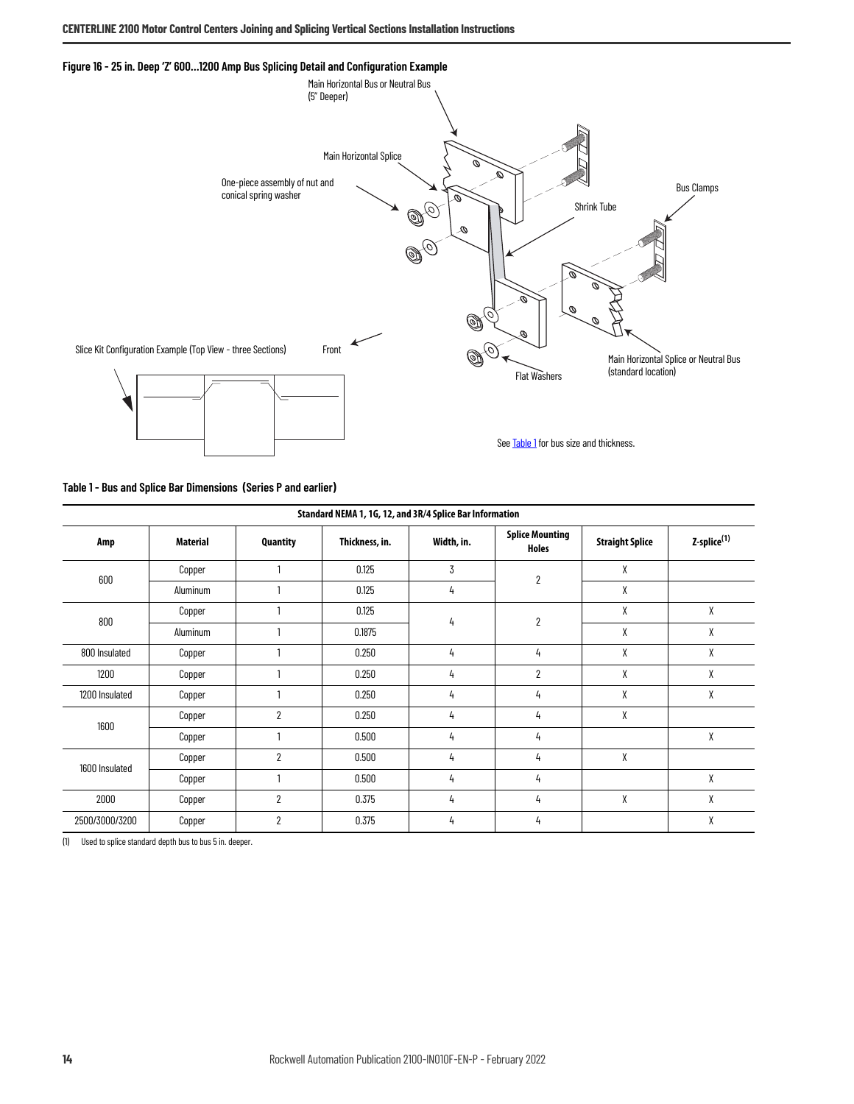<span id="page-13-1"></span>



<span id="page-13-0"></span>**Table 1 - Bus and Splice Bar Dimensions (Series P and earlier)**

| Standard NEMA 1, 1G, 12, and 3R/4 Splice Bar Information |          |                |                |            |                                 |                        |                         |   |
|----------------------------------------------------------|----------|----------------|----------------|------------|---------------------------------|------------------------|-------------------------|---|
| Amp                                                      | Material | Quantity       | Thickness, in. | Width, in. | <b>Splice Mounting</b><br>Holes | <b>Straight Splice</b> | Z-splice <sup>(1)</sup> |   |
| 600                                                      | Copper   |                | 0.125          | 3          | $\overline{2}$                  | X                      |                         |   |
|                                                          | Aluminum |                | 0.125          | 4          |                                 | X                      |                         |   |
| 800                                                      | Copper   |                | 0.125          |            | $\overline{2}$                  | X                      | χ                       |   |
|                                                          | Aluminum |                | 0.1875         | 4          |                                 |                        |                         | X |
| 800 Insulated                                            | Copper   |                | 0.250          | 4          | 4                               | X                      | χ                       |   |
| 1200                                                     | Copper   |                | 0.250          | 4          | $\overline{2}$                  | X                      | χ                       |   |
| 1200 Insulated                                           | Copper   |                | 0.250          | 4          | 4                               | X                      | χ                       |   |
| 1600                                                     | Copper   | $\overline{2}$ | 0.250          | 4          | 4                               | X                      |                         |   |
|                                                          | Copper   |                | 0.500          | 4          | 4                               |                        | χ                       |   |
| 1600 Insulated                                           | Copper   | $\overline{2}$ | 0.500          | 4          | 4                               | χ                      |                         |   |
|                                                          | Copper   |                | 0.500          | 4          | 4                               |                        | χ                       |   |
| 2000                                                     | Copper   | $\overline{2}$ | 0.375          | 4          | 4                               | X                      | χ                       |   |
| 2500/3000/3200                                           | Copper   | $\overline{2}$ | 0.375          | 4          | 4                               |                        | χ                       |   |

(1) Used to splice standard depth bus to bus 5 in. deeper.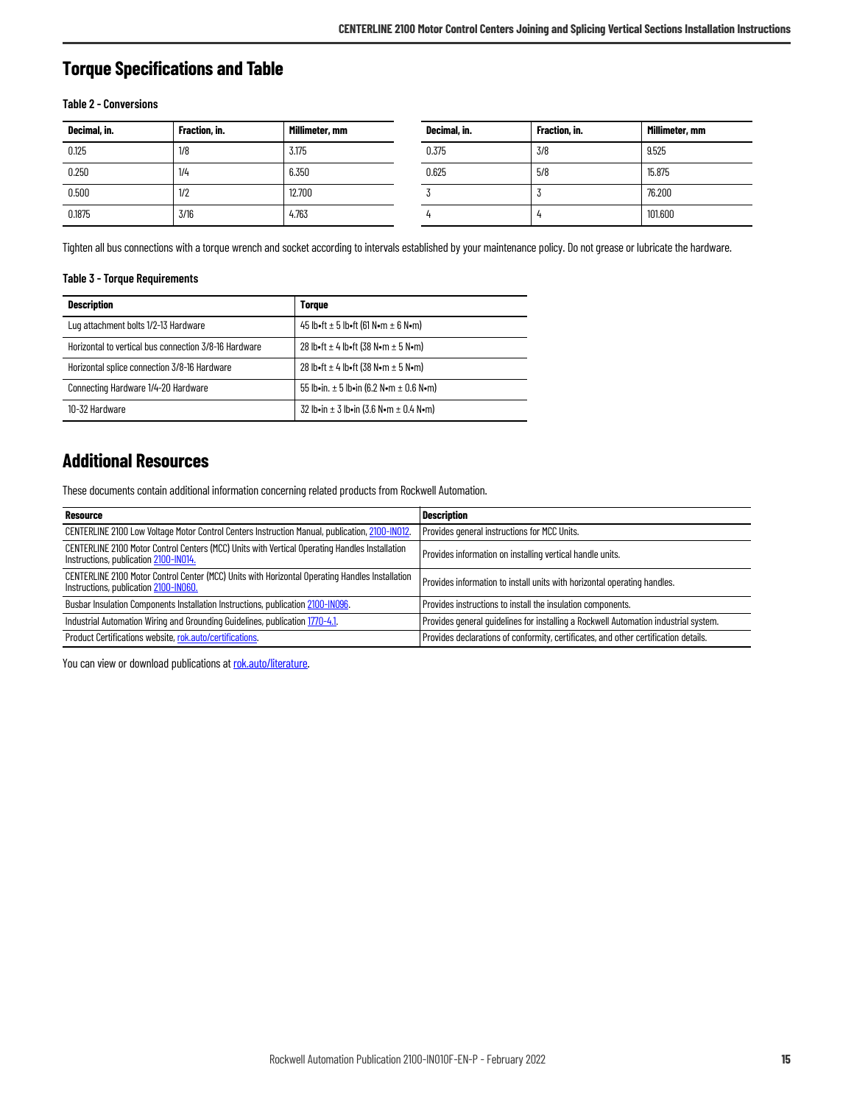### <span id="page-14-0"></span>**Torque Specifications and Table**

#### **Table 2 - Conversions**

| Decimal, in. | Fraction, in. | Millimeter, mm | Decimal, in. | Fraction, in. | Millimeter, mm |
|--------------|---------------|----------------|--------------|---------------|----------------|
| 0.125        | 1/8           | 3.175          | 0.375        | 3/8           | 9.525          |
| 0.250        | 1/4           | 6.350          | 0.625        | 5/8           | 15.875         |
| 0.500        | 1/2           | 12.700         |              |               | 76.200         |
| 0.1875       | 3/16          | 4.763          |              |               | 101.600        |

Tighten all bus connections with a torque wrench and socket according to intervals established by your maintenance policy. Do not grease or lubricate the hardware.

#### <span id="page-14-2"></span>**Table 3 - Torque Requirements**

| <b>Description</b>                                    | <b>Torque</b>                                   |
|-------------------------------------------------------|-------------------------------------------------|
| Lug attachment bolts 1/2-13 Hardware                  | 45 lb•ft ± 5 lb•ft (61 N•m ± 6 N•m)             |
| Horizontal to vertical bus connection 3/8-16 Hardware | 28 lb•ft $\pm$ 4 lb•ft (38 N•m $\pm$ 5 N•m)     |
| Horizontal splice connection 3/8-16 Hardware          | 28 lb•ft $\pm$ 4 lb•ft (38 N•m $\pm$ 5 N•m)     |
| Connecting Hardware 1/4-20 Hardware                   | 55 lb•in. $\pm$ 5 lb•in (6.2 N•m $\pm$ 0.6 N•m) |
| 10-32 Hardware                                        | 32 lb•in $\pm$ 3 lb•in (3.6 N•m $\pm$ 0.4 N•m)  |

### <span id="page-14-1"></span>**Additional Resources**

These documents contain additional information concerning related products from Rockwell Automation.

| <b>Resource</b>                                                                                                                          | <b>Description</b>                                                                  |
|------------------------------------------------------------------------------------------------------------------------------------------|-------------------------------------------------------------------------------------|
| CENTERLINE 2100 Low Voltage Motor Control Centers Instruction Manual, publication, 2100-IN012.                                           | Provides general instructions for MCC Units.                                        |
| CENTERLINE 2100 Motor Control Centers (MCC) Units with Vertical Operating Handles Installation<br>Instructions, publication 2100-IN014.  | Provides information on installing vertical handle units.                           |
| CENTERLINE 2100 Motor Control Center (MCC) Units with Horizontal Operating Handles Installation<br>Instructions, publication 2100-IN060. | Provides information to install units with horizontal operating handles.            |
| Busbar Insulation Components Installation Instructions, publication 2100-IN096.                                                          | Provides instructions to install the insulation components.                         |
| Industrial Automation Wiring and Grounding Guidelines, publication 1770-4.1.                                                             | Provides general guidelines for installing a Rockwell Automation industrial system. |
| Product Certifications website, rok.auto/certifications.                                                                                 | Provides declarations of conformity, certificates, and other certification details. |

You can view or download publications at [rok.auto/literature](https://rok.auto/literature).